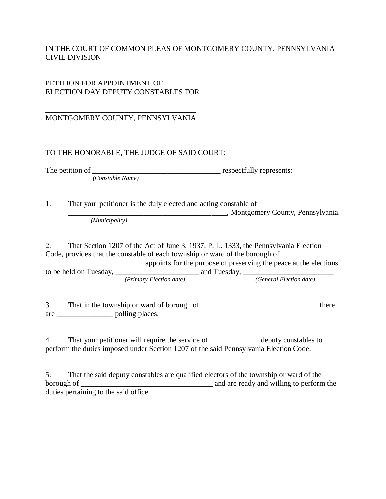## IN THE COURT OF COMMON PLEAS OF MONTGOMERY COUNTY, PENNSYLVANIA CIVIL DIVISION

## PETITION FOR APPOINTMENT OF ELECTION DAY DEPUTY CONSTABLES FOR

#### \_\_\_\_\_\_\_\_\_\_\_\_\_\_\_\_\_\_\_\_\_\_\_\_\_\_\_\_\_\_\_\_\_\_\_\_\_\_\_\_ MONTGOMERY COUNTY, PENNSYLVANIA

### TO THE HONORABLE, THE JUDGE OF SAID COURT:

The petition of \_\_\_\_\_\_\_\_\_\_\_\_\_\_\_\_\_\_\_\_\_\_\_\_\_\_\_\_\_\_\_\_\_\_ respectfully represents: *(Constable Name)*

1. That your petitioner is the duly elected and acting constable of \_\_\_\_\_\_\_\_\_\_\_\_\_\_\_\_\_\_\_\_\_\_\_\_\_\_\_\_\_\_\_\_\_\_\_\_\_\_\_\_\_\_, Montgomery County, Pennsylvania. *(Municipality)*

2. That Section 1207 of the Act of June 3, 1937, P. L. 1333, the Pennsylvania Election Code, provides that the constable of each township or ward of the borough of

\_\_\_\_\_\_\_\_\_\_\_\_\_\_\_\_\_\_\_\_\_\_\_\_\_\_ appoints for the purpose of preserving the peace at the elections to be held on Tuesday, \_\_\_\_\_\_\_\_\_\_\_\_\_\_\_\_\_\_\_\_\_\_ and Tuesday, \_\_\_\_\_\_\_\_\_\_\_\_\_\_\_\_\_\_\_\_\_\_\_\_ *(Primary Election date) (General Election date)*

3. That in the township or ward of borough of the there are \_\_\_\_\_\_\_\_\_\_\_\_\_\_\_ polling places.

4. That your petitioner will require the service of \_\_\_\_\_\_\_\_\_\_\_\_\_\_ deputy constables to perform the duties imposed under Section 1207 of the said Pennsylvania Election Code.

5. That the said deputy constables are qualified electors of the township or ward of the borough of \_\_\_\_\_\_\_\_\_\_\_\_\_\_\_\_\_\_\_\_\_\_\_\_\_\_\_\_\_\_\_\_\_\_\_ and are ready and willing to perform the duties pertaining to the said office.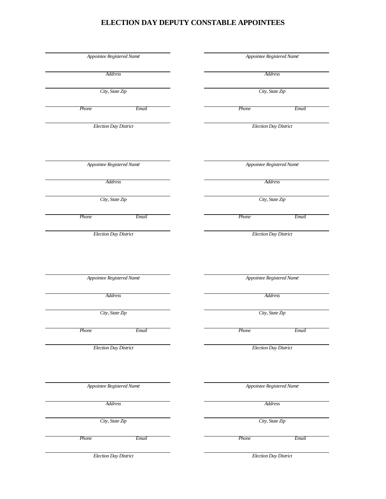## **ELECTION DAY DEPUTY CONSTABLE APPOINTEES**

| Appointee Registered Name    |         |  | Appointee Registered Name    |       |
|------------------------------|---------|--|------------------------------|-------|
|                              | Address |  | Address                      |       |
| City, State Zip              |         |  | City, State Zip              |       |
|                              |         |  |                              |       |
| Phone                        | Email   |  | Phone                        | Email |
| <b>Election Day District</b> |         |  | <b>Election Day District</b> |       |
|                              |         |  |                              |       |
| Appointee Registered Name    |         |  | Appointee Registered Name    |       |
| Address                      |         |  | Address                      |       |
| City, State Zip              |         |  | City, State Zip              |       |
| Phone                        | Email   |  | Phone                        | Email |
| <b>Election Day District</b> |         |  | <b>Election Day District</b> |       |
|                              |         |  |                              |       |
| Appointee Registered Name    |         |  | Appointee Registered Name    |       |
| Address                      |         |  | Address                      |       |
| City, State Zip              |         |  | City, State Zip              |       |
| Phone                        | Email   |  | Phone                        | Email |
| <b>Election Day District</b> |         |  | <b>Election Day District</b> |       |
|                              |         |  |                              |       |
| Appointee Registered Name    |         |  | Appointee Registered Name    |       |
| Address                      |         |  | Address                      |       |
| City, State Zip              |         |  | City, State Zip              |       |
| Phone                        | Email   |  | Phone                        | Email |
| <b>Election Day District</b> |         |  | <b>Election Day District</b> |       |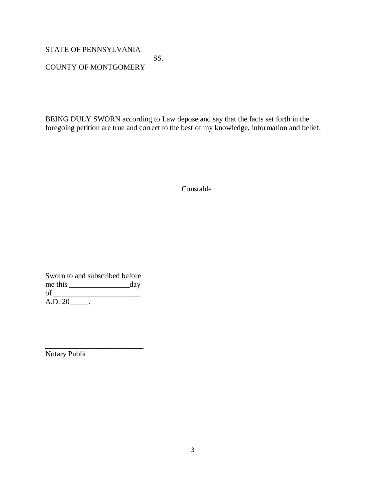STATE OF PENNSYLVANIA

 SS. COUNTY OF MONTGOMERY

BEING DULY SWORN according to Law depose and say that the facts set forth in the foregoing petition are true and correct to the best of my knowledge, information and belief.

Constable

\_\_\_\_\_\_\_\_\_\_\_\_\_\_\_\_\_\_\_\_\_\_\_\_\_\_\_\_\_\_\_\_\_\_\_\_\_\_\_\_\_\_

Sworn to and subscribed before me this \_\_\_\_\_\_\_\_\_\_\_\_\_\_\_\_day of \_\_\_\_\_\_\_\_\_\_\_\_\_\_\_\_\_\_\_\_\_\_\_  $A.D. 20$ \_\_\_\_\_.

\_\_\_\_\_\_\_\_\_\_\_\_\_\_\_\_\_\_\_\_\_\_\_\_\_\_

Notary Public